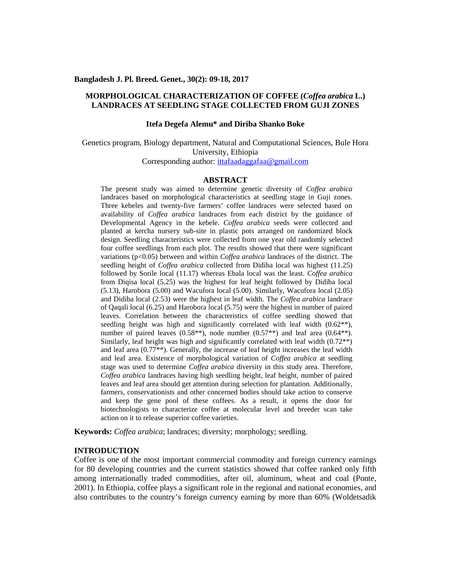**Bangladesh J. Pl. Breed. Genet., 30(2): 09-18, 2017**

# **MORPHOLOGICAL CHARACTERIZATION OF COFFEE (***Coffea arabica* **L.) LANDRACES AT SEEDLING STAGE COLLECTED FROM GUJI ZONES**

## **Itefa Degefa Alemu\* and Diriba Shanko Boke**

Genetics program, Biology department, Natural and Computational Sciences, Bule Hora University, Ethiopia Corresponding author: ittafaadaggafaa@gmail.com

### **ABSTRACT**

The present study was aimed to determine genetic diversity of *Coffea arabica* landraces based on morphological characteristics at seedling stage in Guji zones. Three kebeles and twenty-five farmers' coffee landraces were selected based on availability of *Coffea arabica* landraces from each district by the guidance of Developmental Agency in the kebele. *Coffea arabica* seeds were collected and planted at kercha nursery sub-site in plastic pots arranged on randomized block design. Seedling characteristics were collected from one year old randomly selected four coffee seedlings from each plot. The results showed that there were significant variations (p<0.05) between and within *Coffea arabica* landraces of the district. The seedling height of *Coffea arabica* collected from Didiba local was highest (11.25) followed by Sorile local (11.17) whereas Ebala local was the least. *Coffea arabica* from Diqisa local (5.25) was the highest for leaf height followed by Didiba local (5.13), Harobora (5.00) and Wacufora local (5.00). Similarly, Wacufora local (2.05) and Didiba local (2.53) were the highest in leaf width. The *Coffea arabica* landrace of Qaqali local (6.25) and Harobora local (5.75) were the highest in number of paired leaves. Correlation between the characteristics of coffee seedling showed that seedling height was high and significantly correlated with leaf width (0.62<sup>\*\*</sup>), number of paired leaves  $(0.58**)$ , node number  $(0.57**)$  and leaf area  $(0.64**)$ . Similarly, leaf height was high and significantly correlated with leaf width (0.72\*\*) and leaf area (0.77\*\*). Generally, the increase of leaf height increases the leaf width and leaf area. Existence of morphological variation of *Coffea arabica* at seedling stage was used to determine *Coffea arabica* diversity in this study area. Therefore, *Coffea arabica* landraces having high seedling height, leaf height, number of paired leaves and leaf area should get attention during selection for plantation. Additionally, farmers, conservationists and other concerned bodies should take action to conserve and keep the gene pool of these coffees. As a result, it opens the door for biotechnologists to characterize coffee at molecular level and breeder scan take action on it to release superior coffee varieties.

**Keywords:** *Coffea arabica*; landraces; diversity; morphology; seedling.

### **INTRODUCTION**

Coffee is one of the most important commercial commodity and foreign currency earnings for 80 developing countries and the current statistics showed that coffee ranked only fifth among internationally traded commodities, after oil, aluminum, wheat and coal (Ponte, 2001). In Ethiopia, coffee plays a significant role in the regional and national economies, and also contributes to the country's foreign currency earning by more than 60% (Woldetsadik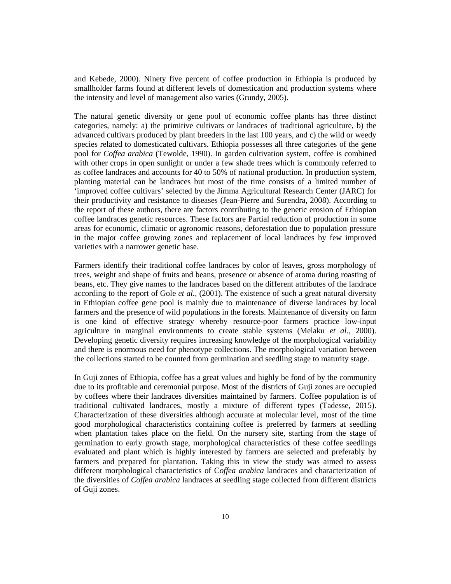and Kebede, 2000). Ninety five percent of coffee production in Ethiopia is produced by smallholder farms found at different levels of domestication and production systems where the intensity and level of management also varies (Grundy, 2005).

The natural genetic diversity or gene pool of economic coffee plants has three distinct categories, namely: a) the primitive cultivars or landraces of traditional agriculture, b) the advanced cultivars produced by plant breeders in the last 100 years, and c) the wild or weedy species related to domesticated cultivars. Ethiopia possesses all three categories of the gene pool for *Coffea arabica* (Tewolde, 1990). In garden cultivation system, coffee is combined with other crops in open sunlight or under a few shade trees which is commonly referred to as coffee landraces and accounts for 40 to 50% of national production. In production system, planting material can be landraces but most of the time consists of a limited number of 'improved coffee cultivars' selected by the Jimma Agricultural Research Center (JARC) for their productivity and resistance to diseases (Jean-Pierre and Surendra, 2008). According to the report of these authors, there are factors contributing to the genetic erosion of Ethiopian coffee landraces genetic resources. These factors are Partial reduction of production in some areas for economic, climatic or agronomic reasons, deforestation due to population pressure in the major coffee growing zones and replacement of local landraces by few improved varieties with a narrower genetic base.

Farmers identify their traditional coffee landraces by color of leaves, gross morphology of trees, weight and shape of fruits and beans, presence or absence of aroma during roasting of beans, etc. They give names to the landraces based on the different attributes of the landrace according to the report of Gole *et al.,* (2001). The existence of such a great natural diversity in Ethiopian coffee gene pool is mainly due to maintenance of diverse landraces by local farmers and the presence of wild populations in the forests. Maintenance of diversity on farm is one kind of effective strategy whereby resource-poor farmers practice low-input agriculture in marginal environments to create stable systems (Melaku *et al.,* 2000). Developing genetic diversity requires increasing knowledge of the morphological variability and there is enormous need for phenotype collections. The morphological variation between the collections started to be counted from germination and seedling stage to maturity stage.

In Guji zones of Ethiopia, coffee has a great values and highly be fond of by the community due to its profitable and ceremonial purpose. Most of the districts of Guji zones are occupied by coffees where their landraces diversities maintained by farmers. Coffee population is of traditional cultivated landraces, mostly a mixture of different types (Tadesse, 2015). Characterization of these diversities although accurate at molecular level, most of the time good morphological characteristics containing coffee is preferred by farmers at seedling when plantation takes place on the field. On the nursery site, starting from the stage of germination to early growth stage, morphological characteristics of these coffee seedlings evaluated and plant which is highly interested by farmers are selected and preferably by farmers and prepared for plantation. Taking this in view the study was aimed to assess different morphological characteristics of C*offea arabica* landraces and characterization of the diversities of *Coffea arabica* landraces at seedling stage collected from different districts of Guji zones.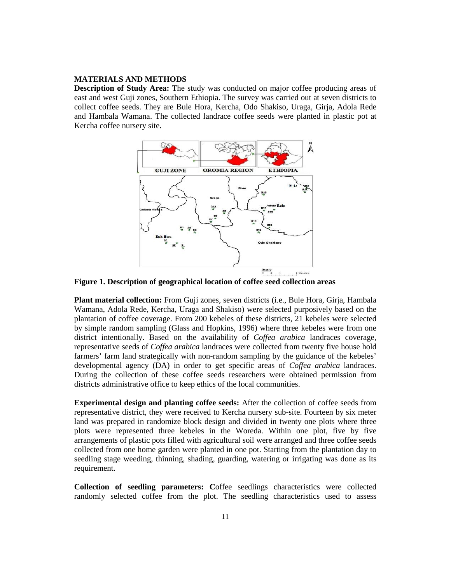### **MATERIALS AND METHODS**

**Description of Study Area:** The study was conducted on major coffee producing areas of east and west Guji zones, Southern Ethiopia. The survey was carried out at seven districts to collect coffee seeds. They are Bule Hora, Kercha, Odo Shakiso, Uraga, Girja, Adola Rede and Hambala Wamana. The collected landrace coffee seeds were planted in plastic pot at Kercha coffee nursery site.



**Figure 1. Description of geographical location of coffee seed collection areas**

**Plant material collection:** From Guji zones, seven districts (i.e., Bule Hora, Girja, Hambala Wamana, Adola Rede, Kercha, Uraga and Shakiso) were selected purposively based on the plantation of coffee coverage. From 200 kebeles of these districts, 21 kebeles were selected by simple random sampling (Glass and Hopkins, 1996) where three kebeles were from one district intentionally. Based on the availability of *Coffea arabica* landraces coverage, representative seeds of *Coffea arabica* landraces were collected from twenty five house hold farmers' farm land strategically with non-random sampling by the guidance of the kebeles' developmental agency (DA) in order to get specific areas of *Coffea arabica* landraces. During the collection of these coffee seeds researchers were obtained permission from districts administrative office to keep ethics of the local communities.

**Experimental design and planting coffee seeds:** After the collection of coffee seeds from representative district, they were received to Kercha nursery sub-site. Fourteen by six meter land was prepared in randomize block design and divided in twenty one plots where three plots were represented three kebeles in the Woreda. Within one plot, five by five arrangements of plastic pots filled with agricultural soil were arranged and three coffee seeds collected from one home garden were planted in one pot. Starting from the plantation day to seedling stage weeding, thinning, shading, guarding, watering or irrigating was done as its requirement.

**Collection of seedling parameters: C**offee seedlings characteristics were collected randomly selected coffee from the plot. The seedling characteristics used to assess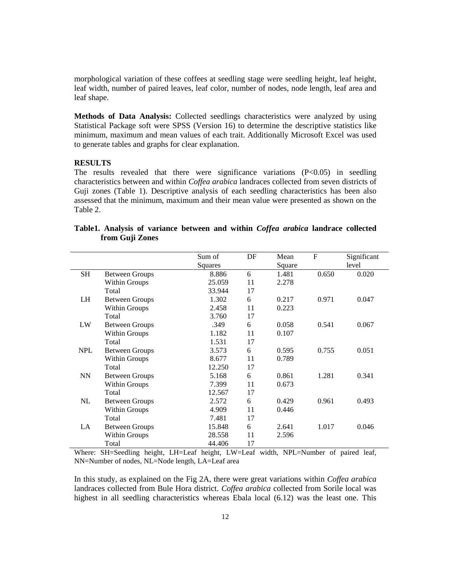morphological variation of these coffees at seedling stage were seedling height, leaf height, leaf width, number of paired leaves, leaf color, number of nodes, node length, leaf area and leaf shape.

**Methods of Data Analysis:** Collected seedlings characteristics were analyzed by using Statistical Package soft were SPSS (Version 16) to determine the descriptive statistics like minimum, maximum and mean values of each trait. Additionally Microsoft Excel was used to generate tables and graphs for clear explanation.

# **RESULTS**

The results revealed that there were significance variations  $(P<0.05)$  in seedling characteristics between and within *Coffea arabica* landraces collected from seven districts of Guji zones (Table 1). Descriptive analysis of each seedling characteristics has been also assessed that the minimum, maximum and their mean value were presented as shown on the Table 2.

|            |                       | Sum of  | DF | Mean   | $\mathbf{F}$ | Significant |
|------------|-----------------------|---------|----|--------|--------------|-------------|
|            |                       | Squares |    | Square |              | level       |
| SH         | <b>Between Groups</b> | 8.886   | 6  | 1.481  | 0.650        | 0.020       |
|            | Within Groups         | 25.059  | 11 | 2.278  |              |             |
|            | Total                 | 33.944  | 17 |        |              |             |
| LH         | <b>Between Groups</b> | 1.302   | 6  | 0.217  | 0.971        | 0.047       |
|            | Within Groups         | 2.458   | 11 | 0.223  |              |             |
|            | Total                 | 3.760   | 17 |        |              |             |
| LW         | <b>Between Groups</b> | .349    | 6  | 0.058  | 0.541        | 0.067       |
|            | Within Groups         | 1.182   | 11 | 0.107  |              |             |
|            | Total                 | 1.531   | 17 |        |              |             |
| <b>NPL</b> | <b>Between Groups</b> | 3.573   | 6  | 0.595  | 0.755        | 0.051       |
|            | Within Groups         | 8.677   | 11 | 0.789  |              |             |
|            | Total                 | 12.250  | 17 |        |              |             |
| <b>NN</b>  | <b>Between Groups</b> | 5.168   | 6  | 0.861  | 1.281        | 0.341       |
|            | Within Groups         | 7.399   | 11 | 0.673  |              |             |
|            | Total                 | 12.567  | 17 |        |              |             |
| NL         | <b>Between Groups</b> | 2.572   | 6  | 0.429  | 0.961        | 0.493       |
|            | Within Groups         | 4.909   | 11 | 0.446  |              |             |
|            | Total                 | 7.481   | 17 |        |              |             |
| LA         | <b>Between Groups</b> | 15.848  | 6  | 2.641  | 1.017        | 0.046       |
|            | Within Groups         | 28.558  | 11 | 2.596  |              |             |
|            | Total                 | 44.406  | 17 |        |              |             |

# **Table1. Analysis of variance between and within** *Coffea arabica* **landrace collected from Guji Zones**

Where: SH=Seedling height, LH=Leaf height, LW=Leaf width, NPL=Number of paired leaf, NN=Number of nodes, NL=Node length, LA=Leaf area

In this study, as explained on the Fig 2A, there were great variations within *Coffea arabica* landraces collected from Bule Hora district. *Coffea arabica* collected from Sorile local was highest in all seedling characteristics whereas Ebala local (6.12) was the least one. This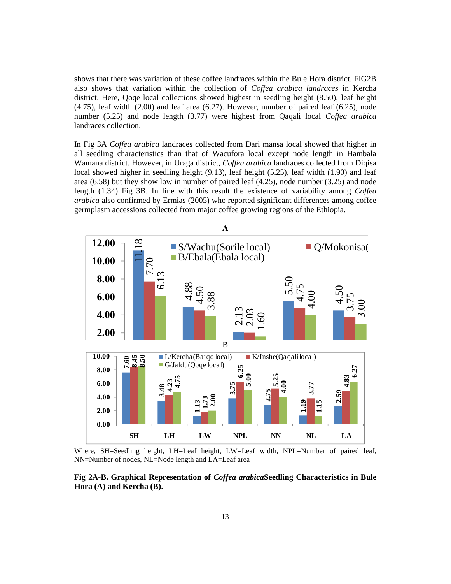shows that there was variation of these coffee landraces within the Bule Hora district. FIG2B also shows that variation within the collection of *Coffea arabica landraces* in Kercha district. Here, Qoqe local collections showed highest in seedling height (8.50), leaf height (4.75), leaf width (2.00) and leaf area (6.27). However, number of paired leaf (6.25), node number (5.25) and node length (3.77) were highest from Qaqali local *Coffea arabica* landraces collection.

In Fig 3A *Coffea arabica* landraces collected from Dari mansa local showed that higher in all seedling characteristics than that of Wacufora local except node length in Hambala Wamana district. However, in Uraga district, *Coffea arabica* landraces collected from Diqisa local showed higher in seedling height (9.13), leaf height (5.25), leaf width (1.90) and leaf area (6.58) but they show low in number of paired leaf (4.25), node number (3.25) and node length (1.34) Fig 3B. In line with this result the existence of variability among *Coffea arabica* also confirmed by Ermias (2005) who reported significant differences among coffee germplasm accessions collected from major coffee growing regions of the Ethiopia.



Where, SH=Seedling height, LH=Leaf height, LW=Leaf width, NPL=Number of paired leaf, NN=Number of nodes, NL=Node length and LA=Leaf area

**Fig 2A-B. Graphical Representation of** *Coffea arabica***Seedling Characteristics in Bule Hora (A) and Kercha (B).**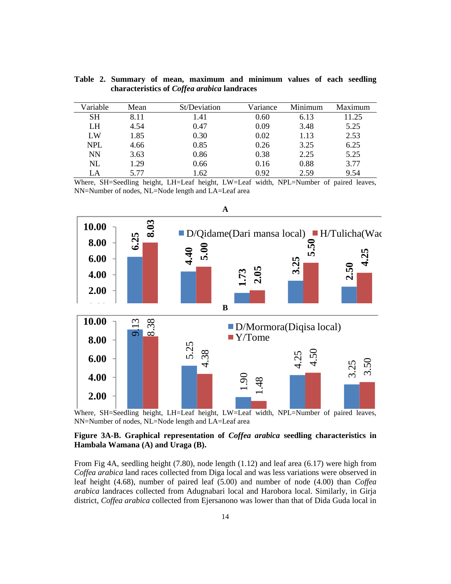| Variable   | Mean | St/Deviation | Variance | Minimum | Maximum |
|------------|------|--------------|----------|---------|---------|
| SН         | 8.11 | 1.41         | 0.60     | 6.13    | 11.25   |
| LH         | 4.54 | 0.47         | 0.09     | 3.48    | 5.25    |
| LW         | 1.85 | 0.30         | 0.02     | 1.13    | 2.53    |
| <b>NPL</b> | 4.66 | 0.85         | 0.26     | 3.25    | 6.25    |
| NN         | 3.63 | 0.86         | 0.38     | 2.25    | 5.25    |
| <b>NL</b>  | 1.29 | 0.66         | 0.16     | 0.88    | 3.77    |
| LA         | 5.77 | .62          | 0.92     | 2.59    | 9.54    |

**Table 2. Summary of mean, maximum and minimum values of each seedling characteristics of** *Coffea arabica* **landraces**

Where, SH=Seedling height, LH=Leaf height, LW=Leaf width, NPL=Number of paired leaves, NN=Number of nodes, NL=Node length and LA=Leaf area



Where, SH=Seedling height, LH=Leaf height, LW=Leaf width, NPL=Number of paired leaves, NN=Number of nodes, NL=Node length and LA=Leaf area

# **SH LH LW NPL NN NL LA Figure 3A-B. Graphical representation of** *Coffea arabica* **seedling characteristics in Hambala Wamana (A) and Uraga (B).**

From Fig 4A, seedling height (7.80), node length (1.12) and leaf area (6.17) were high from *Coffea arabica* land races collected from Diga local and was less variations were observed in leaf height (4.68), number of paired leaf (5.00) and number of node (4.00) than *Coffea arabica* landraces collected from Adugnabari local and Harobora local. Similarly, in Girja district, *Coffea arabica* collected from Ejersanono was lower than that of Dida Guda local in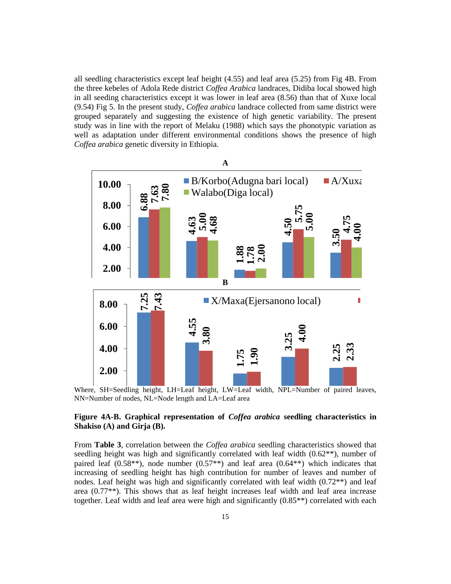all seedling characteristics except leaf height (4.55) and leaf area (5.25) from Fig 4B. From the three kebeles of Adola Rede district *Coffea Arabica* landraces, Didiba local showed high in all seeding characteristics except it was lower in leaf area (8.56) than that of Xuxe local (9.54) Fig 5. In the present study, *Coffea arabica* landrace collected from same district were grouped separately and suggesting the existence of high genetic variability. The present study was in line with the report of Melaku (1988) which says the phonotypic variation as well as adaptation under different environmental conditions shows the presence of high *Coffea arabica* genetic diversity in Ethiopia.



Where, SH=Seedling height, LH=Leaf height, LW=Leaf width, NPL=Number of paired leaves,<br>NN-Number of pades, NL-Node leasth and LA-Leaf gree. NN=Number of nodes, NL=Node length and LA=Leaf area

**SH LH LW NPL NN NL LA**

# **Figure 4A-B. Graphical representation of** *Coffea arabica* **seedling characteristics in Shakiso (A) and Girja (B).**

From **Table 3**, correlation between the *Coffea arabica* seedling characteristics showed that seedling height was high and significantly correlated with leaf width (0.62\*\*), number of paired leaf  $(0.58^{**})$ , node number  $(0.57^{**})$  and leaf area  $(0.64^{**})$  which indicates that increasing of seedling height has high contribution for number of leaves and number of nodes. Leaf height was high and significantly correlated with leaf width  $(0.72^{**})$  and leaf area (0.77\*\*). This shows that as leaf height increases leaf width and leaf area increase together. Leaf width and leaf area were high and significantly (0.85\*\*) correlated with each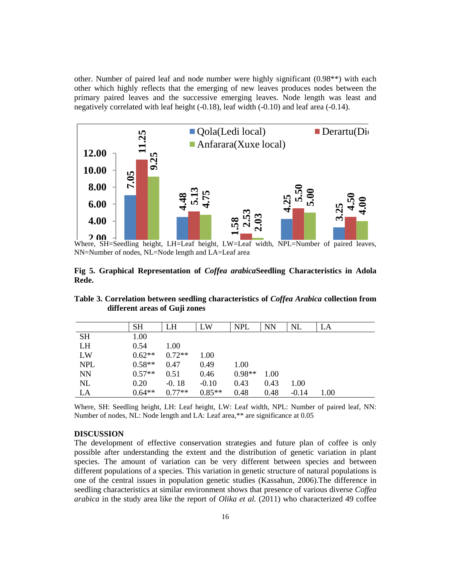other. Number of paired leaf and node number were highly significant (0.98\*\*) with each other which highly reflects that the emerging of new leaves produces nodes between the primary paired leaves and the successive emerging leaves. Node length was least and negatively correlated with leaf height (-0.18), leaf width (-0.10) and leaf area (-0.14).



**0.00** NN=Number of nodes, NL=Node length and LA=Leaf area

**SH LH LW NPL NN NL LA Fig 5. Graphical Representation of** *Coffea arabica***Seedling Characteristics in Adola Rede.**

|                               | Table 3. Correlation between seedling characteristics of <i>Coffea Arabica</i> collection from |
|-------------------------------|------------------------------------------------------------------------------------------------|
| different areas of Guji zones |                                                                                                |

|            | <b>SH</b> | LH       | LW       | <b>NPL</b> | <b>NN</b> | NL      | LA   |
|------------|-----------|----------|----------|------------|-----------|---------|------|
| <b>SH</b>  | 1.00      |          |          |            |           |         |      |
| LH         | 0.54      | 1.00     |          |            |           |         |      |
| LW         | $0.62**$  | $0.72**$ | 1.00     |            |           |         |      |
| <b>NPL</b> | $0.58**$  | 0.47     | 0.49     | 1.00       |           |         |      |
| <b>NN</b>  | $0.57**$  | 0.51     | 0.46     | $0.98**$   | 1.00      |         |      |
| NL         | 0.20      | $-0.18$  | $-0.10$  | 0.43       | 0.43      | 1.00    |      |
| LA         | $0.64**$  | $0.77**$ | $0.85**$ | 0.48       | 0.48      | $-0.14$ | 1.00 |

Where, SH: Seedling height, LH: Leaf height, LW: Leaf width, NPL: Number of paired leaf, NN: Number of nodes, NL: Node length and LA: Leaf area,\*\* are significance at 0.05

### **DISCUSSION**

The development of effective conservation strategies and future plan of coffee is only possible after understanding the extent and the distribution of genetic variation in plant species. The amount of variation can be very different between species and between different populations of a species. This variation in genetic structure of natural populations is one of the central issues in population genetic studies (Kassahun, 2006).The difference in seedling characteristics at similar environment shows that presence of various diverse *Coffea arabica* in the study area like the report of *Olika et al.* (2011) who characterized 49 coffee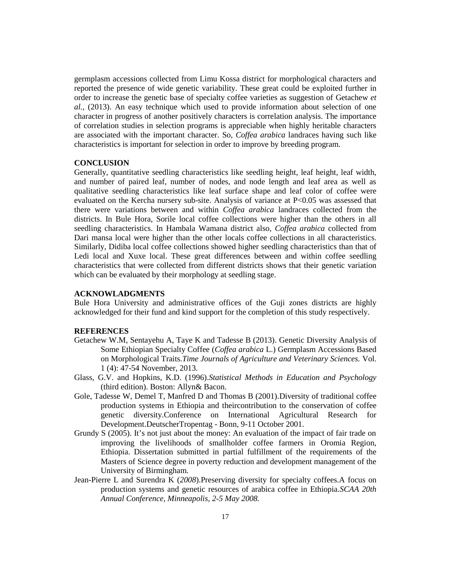germplasm accessions collected from Limu Kossa district for morphological characters and reported the presence of wide genetic variability. These great could be exploited further in order to increase the genetic base of specialty coffee varieties as suggestion of Getachew *et al.,* (2013). An easy technique which used to provide information about selection of one character in progress of another positively characters is correlation analysis. The importance of correlation studies in selection programs is appreciable when highly heritable characters are associated with the important character. So, *Coffea arabica* landraces having such like characteristics is important for selection in order to improve by breeding program.

## **CONCLUSION**

Generally, quantitative seedling characteristics like seedling height, leaf height, leaf width, and number of paired leaf, number of nodes, and node length and leaf area as well as qualitative seedling characteristics like leaf surface shape and leaf color of coffee were evaluated on the Kercha nursery sub-site. Analysis of variance at P<0.05 was assessed that there were variations between and within *Coffea arabica* landraces collected from the districts. In Bule Hora, Sorile local coffee collections were higher than the others in all seedling characteristics. In Hambala Wamana district also, *Coffea arabica* collected from Dari mansa local were higher than the other locals coffee collections in all characteristics. Similarly, Didiba local coffee collections showed higher seedling characteristics than that of Ledi local and Xuxe local. These great differences between and within coffee seedling characteristics that were collected from different districts shows that their genetic variation which can be evaluated by their morphology at seedling stage.

## **ACKNOWLADGMENTS**

Bule Hora University and administrative offices of the Guji zones districts are highly acknowledged for their fund and kind support for the completion of this study respectively.

### **REFERENCES**

- Getachew W.M, Sentayehu A, Taye K and Tadesse B (2013). Genetic Diversity Analysis of Some Ethiopian Specialty Coffee (*Coffea arabica* L.) Germplasm Accessions Based on Morphological Traits.*Time Journals of Agriculture and Veterinary Sciences.* Vol. 1 (4): 47-54 November, 2013.
- Glass, G.V. and Hopkins, K.D. (1996).*Statistical Methods in Education and Psychology* (third edition). Boston: Allyn& Bacon.
- Gole, Tadesse W, Demel T, Manfred D and Thomas B (2001).Diversity of traditional coffee production systems in Ethiopia and theircontribution to the conservation of coffee genetic diversity.Conference on International Agricultural Research for Development.DeutscherTropentag - Bonn, 9-11 October 2001.
- Grundy S (2005). It's not just about the money: An evaluation of the impact of fair trade on improving the livelihoods of smallholder coffee farmers in Oromia Region, Ethiopia. Dissertation submitted in partial fulfillment of the requirements of the Masters of Science degree in poverty reduction and development management of the University of Birmingham.
- Jean-Pierre L and Surendra K (*2008*).Preserving diversity for specialty coffees.A focus on production systems and genetic resources of arabica coffee in Ethiopia.*SCAA 20th Annual Conference, Minneapolis, 2-5 May 2008.*